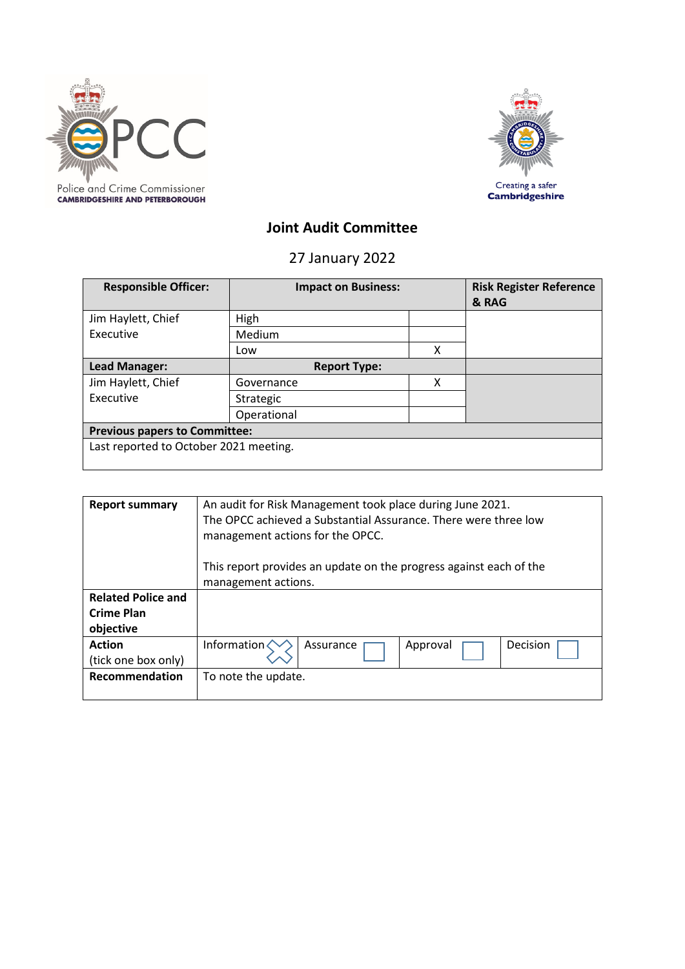



## **Joint Audit Committee**

27 January 2022

| <b>Responsible Officer:</b>            | <b>Impact on Business:</b> |   | <b>Risk Register Reference</b><br>& RAG |
|----------------------------------------|----------------------------|---|-----------------------------------------|
| Jim Haylett, Chief                     | High                       |   |                                         |
| Executive                              | Medium                     |   |                                         |
|                                        | Low                        | χ |                                         |
| Lead Manager:                          | <b>Report Type:</b>        |   |                                         |
| Jim Haylett, Chief                     | Governance                 | x |                                         |
| Executive                              | Strategic                  |   |                                         |
|                                        | Operational                |   |                                         |
| <b>Previous papers to Committee:</b>   |                            |   |                                         |
| Last reported to October 2021 meeting. |                            |   |                                         |

| <b>Report summary</b>     | An audit for Risk Management took place during June 2021.<br>The OPCC achieved a Substantial Assurance. There were three low<br>management actions for the OPCC. |  |  |
|---------------------------|------------------------------------------------------------------------------------------------------------------------------------------------------------------|--|--|
|                           | This report provides an update on the progress against each of the<br>management actions.                                                                        |  |  |
| <b>Related Police and</b> |                                                                                                                                                                  |  |  |
| <b>Crime Plan</b>         |                                                                                                                                                                  |  |  |
| objective                 |                                                                                                                                                                  |  |  |
| <b>Action</b>             | Information<br>Decision<br>Approval<br>Assurance                                                                                                                 |  |  |
| (tick one box only)       |                                                                                                                                                                  |  |  |
| Recommendation            | To note the update.                                                                                                                                              |  |  |
|                           |                                                                                                                                                                  |  |  |